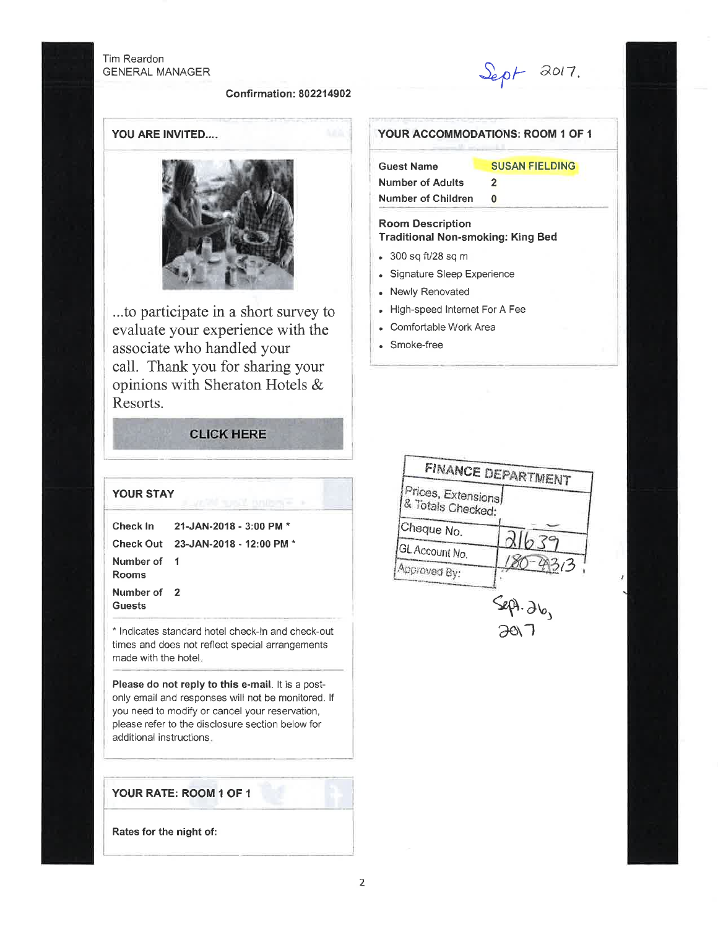## Tim Reardon **GENERAL MANAGER**

## **Confirmation: 802214902**

 $S_{e\rho}$  $F$  2017.

**SUSAN FIELDING** 

YOUR ACCOMMODATIONS: ROOM 1 OF 1

 $\overline{2}$ 

 $\mathbf{0}$ 

**Traditional Non-smoking: King Bed** 

**Guest Name** 

**Number of Adults** 

**Number of Children** 

**Room Description** 

• 300 sq ft/28 sq m

• Newly Renovated

• Signature Sleep Experience

High-speed Internet For A Fee

YOU ARE INVITED....



...to participate in a short survey to evaluate your experience with the associate who handled your call. Thank you for sharing your opinions with Sheraton Hotels & Resorts.

# **CLICK HERE**

| Check In              | $-21$ -JAN-2018 - 3:00 PM $^{\star}$       |
|-----------------------|--------------------------------------------|
| <b>Check Out</b>      | 23-JAN-2018 - 12:00 PM *                   |
| Number of<br>Rooms    | $\blacksquare$                             |
| Number of 2<br>Guests |                                            |
|                       | * Indicates standard hotel check-in and cl |

**YOUR STAY** 

s standard hotel check-in and check-out times and does not reflect special arrangements made with the hotel.

Please do not reply to this e-mail. It is a postonly email and responses will not be monitored. If you need to modify or cancel your reservation, please refer to the disclosure section below for additional instructions.

YOUR RATE: ROOM 1 OF 1



• Comfortable Work Area Smoke-free



Rates for the night of: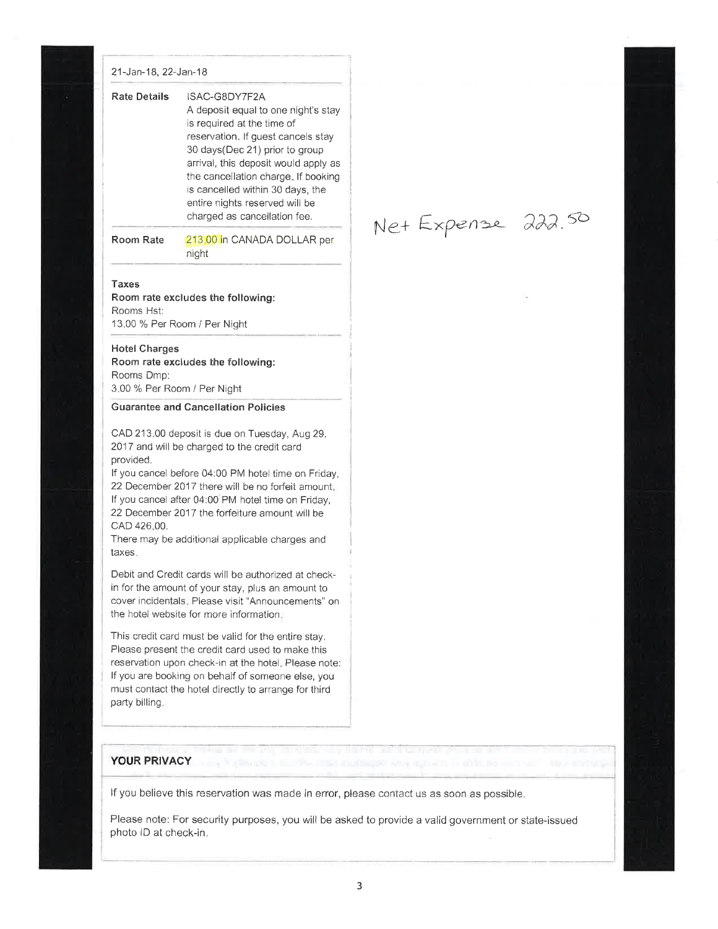#### 21-Jan-I8, 22-Jan-18

| <b>Rate Details</b> | ISAC-G8DY7F2A<br>A deposit equal to one night's stay<br>is required at the time of<br>reservation. If guest cancels stay<br>30 days (Dec 21) prior to group<br>arrival, this deposit would apply as<br>the cancellation charge. If booking<br>is cancelled within 30 days, the<br>entire nights reserved will be |
|---------------------|------------------------------------------------------------------------------------------------------------------------------------------------------------------------------------------------------------------------------------------------------------------------------------------------------------------|
|                     | charged as cancellation fee.                                                                                                                                                                                                                                                                                     |

Room Rate 213.00 in CANADA DOLLAR per night

Net Expense 222.50

#### Taxes

Room rate excludes the following: Rooms Hst: 13.00 % Per Room / Per Night

### **Hotel Charges**

Room rate excludes the following: Rooms Dmp: 3.00 % Per Room / Per Night

#### Guarantee and Cancellation Policies

CAD 213.00 deposit is due on Tuesday, Aug29, 2017 and will be charged to the credit card provided,

lf you cancel before 04:00 PM hotel time on Friday, 22 December 2017 there will be no forfeit amount. lf you cancel after 04:00 PM hotel time on Friday, 22 December 2017 the forfeiture amount will be cAD 426.00.

There may be additional applicable charges and taxes.

Debit and Credit cards will be authorized at checkin for the amount of your stay, plus an amount to cover incidentals. Please visit "Announcements" on the hotel website for more information.

This credit card must be valid for the entire stay. Please present the credit card used to make this reservation upon check-in at the hotel. Please note: lf you are booking on behalf of someone else, you must contact the hotel directly to arrange for third party billing.

## YOUR PRIVACY

If you believe this reservation was made in error, please contact us as soon as possible.

Please note: For security purposes, you will be asked to provide a valid government or state-issued photo lD at check-in.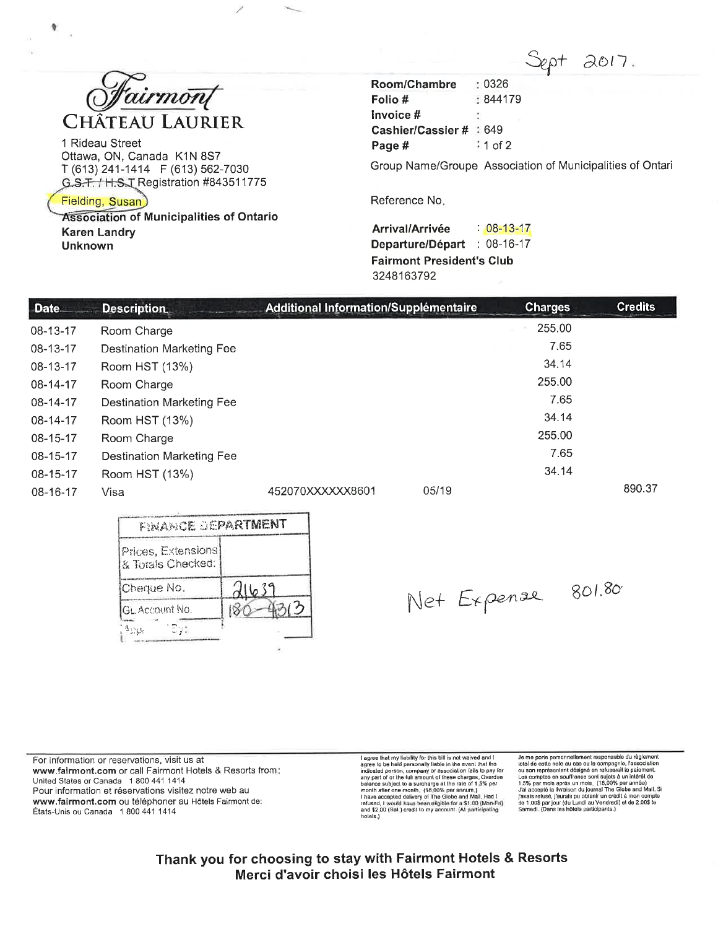

1 Rideau Street Ottawa, ON, Canada K1N 8S7 T (613) 241-1414 F (613) 562-7030 G.S.T. / H.S.T Registration #843511775

Fielding, Susan)

**Association of Municipalities of Ontario Karen Landry Unknown** 

 $2017.$  $: 0326$ 

Room/Chambre Folio #  $:844179$ Invoice # N. Cashier/Cassier # # 649 Page #  $\approx$  1 of 2

Group Name/Groupe Association of Municipalities of Ontari

Reference No.

Arrival/Arrivée  $: 08 - 13 - 17$ Departure/Départ : 08-16-17 **Fairmont President's Club** 3248163792

| Date<br><b>Description</b> |                                  | Additional Information/Supplémentaire | <b>Charges</b> | <b>Credits</b> |
|----------------------------|----------------------------------|---------------------------------------|----------------|----------------|
| 08-13-17                   | Room Charge                      |                                       | 255.00         |                |
| 08-13-17                   | <b>Destination Marketing Fee</b> |                                       | 7.65           |                |
| 08-13-17                   | Room HST (13%)                   |                                       | 34.14          |                |
| 08-14-17                   | Room Charge                      |                                       | 255.00         |                |
| 08-14-17                   | Destination Marketing Fee        |                                       | 7.65           |                |
| 08-14-17                   | Room HST (13%)                   |                                       | 34.14          |                |
| $08 - 15 - 17$             | Room Charge                      |                                       | 255.00         |                |
| 08-15-17                   | <b>Destination Marketing Fee</b> |                                       | 7.65           |                |
| 08-15-17                   | Room HST (13%)                   |                                       | 34.14          |                |
| 08-16-17                   | Visa                             | 05/19<br>452070XXXXXX8601             |                | 890.37         |

| FINANCE DEPARTMENT                      |       |
|-----------------------------------------|-------|
| Prices, Extensions<br>& Totals Checked: |       |
| Cheque No.                              | 21639 |
| GL Account No.                          |       |
| ارت<br>^∷o                              |       |

Net Expense 801.80

For information or reservations, visit us at www.fairmont.com or call Fairmont Hotels & Resorts from: United States or Canada 1 800 441 1414 Pour information et réservations visitez notre web au www.fairmont.com ou téléphoner au Hôtels Fairmont de: États-Unis ou Canada 1 800 441 1414

I agree that my liability for this bill is not waived and I<br>agree to be held personally liable in the event that the<br>indicated person, company or association falls to pay for<br>any part of or the full amount of these charge hotels.)

Je me porte personnellement responsable du règlement Je me porte personnellement responsable du réglement<br>local de cette note au cas ou la compagnie, l'association<br>ou son représentant désigné en refuserait lo paisment.<br>Les comptes en souffrance sont sujets à un intérêt de<br>1

Thank you for choosing to stay with Fairmont Hotels & Resorts Merci d'avoir choisi les Hôtels Fairmont